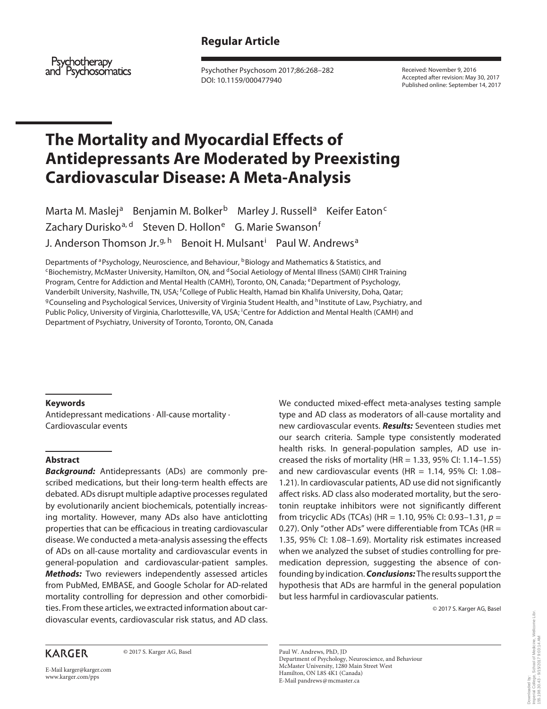# **Regular Article**

Psychotherapy and Psychosomatics

 Psychother Psychosom 2017;86:268–282 DOI: 10.1159/000477940

 Received: November 9, 2016 Accepted after revision: May 30, 2017 Published online: September 14, 2017

# **The Mortality and Myocardial Effects of Antidepressants Are Moderated by Preexisting Cardiovascular Disease: A Meta-Analysis**

Marta M. Maslej<sup>a</sup> Benjamin M. Bolker<sup>b</sup> Marley J. Russell<sup>a</sup> Keifer Eaton<sup>c</sup> Zachary Durisko<sup>a, d</sup> Steven D. Hollon<sup>e</sup> G. Marie Swanson<sup>f</sup> J. Anderson Thomson Jr.<sup>g, h</sup> Benoit H. Mulsant<sup>i</sup> Paul W. Andrews<sup>a</sup>

Departments of <sup>a</sup> Psychology, Neuroscience, and Behaviour, <sup>b</sup> Biology and Mathematics & Statistics, and C Biochemistry, McMaster University, Hamilton, ON, and <sup>d</sup> Social Aetiology of Mental Illness (SAMI) CIHR Training Program, Centre for Addiction and Mental Health (CAMH), Toronto, ON, Canada; eDepartment of Psychology, Vanderbilt University, Nashville, TN, USA; <sup>f</sup>College of Public Health, Hamad bin Khalifa University, Doha, Qatar; <sup>g</sup>Counseling and Psychological Services, University of Virginia Student Health, and <sup>h</sup> Institute of Law, Psychiatry, and Public Policy, University of Virginia, Charlottesville, VA, USA; Centre for Addiction and Mental Health (CAMH) and Department of Psychiatry, University of Toronto, Toronto, ON, Canada

#### **Keywords**

 Antidepressant medications · All-cause mortality · Cardiovascular events

#### **Abstract**

*Background:* Antidepressants (ADs) are commonly prescribed medications, but their long-term health effects are debated. ADs disrupt multiple adaptive processes regulated by evolutionarily ancient biochemicals, potentially increasing mortality. However, many ADs also have anticlotting properties that can be efficacious in treating cardiovascular disease. We conducted a meta-analysis assessing the effects of ADs on all-cause mortality and cardiovascular events in general-population and cardiovascular-patient samples. *Methods:* Two reviewers independently assessed articles from PubMed, EMBASE, and Google Scholar for AD-related mortality controlling for depression and other comorbidities. From these articles, we extracted information about cardiovascular events, cardiovascular risk status, and AD class.

## **KARGER**

© 2017 S. Karger AG, Basel

E-Mail karger@karger.com www.karger.com/pps

We conducted mixed-effect meta-analyses testing sample type and AD class as moderators of all-cause mortality and new cardiovascular events. *Results:* Seventeen studies met our search criteria. Sample type consistently moderated health risks. In general-population samples, AD use increased the risks of mortality (HR =  $1.33$ , 95% CI:  $1.14-1.55$ ) and new cardiovascular events (HR =  $1.14$ , 95% CI:  $1.08-$ 1.21). In cardiovascular patients, AD use did not significantly affect risks. AD class also moderated mortality, but the serotonin reuptake inhibitors were not significantly different from tricyclic ADs (TCAs) (HR = 1.10, 95% CI: 0.93–1.31,  $p =$ 0.27). Only "other ADs" were differentiable from TCAs (HR = 1.35, 95% CI: 1.08–1.69). Mortality risk estimates increased when we analyzed the subset of studies controlling for premedication depression, suggesting the absence of confounding by indication. *Conclusions:* The results support the hypothesis that ADs are harmful in the general population but less harmful in cardiovascular patients.

© 2017 S. Karger AG, Basel

 Paul W. Andrews, PhD, JD Department of Psychology, Neuroscience, and Behaviour McMaster University, 1280 Main Street West Hamilton, ON L8S 4K1 (Canada) E-Mail pandrews @ mcmaster.ca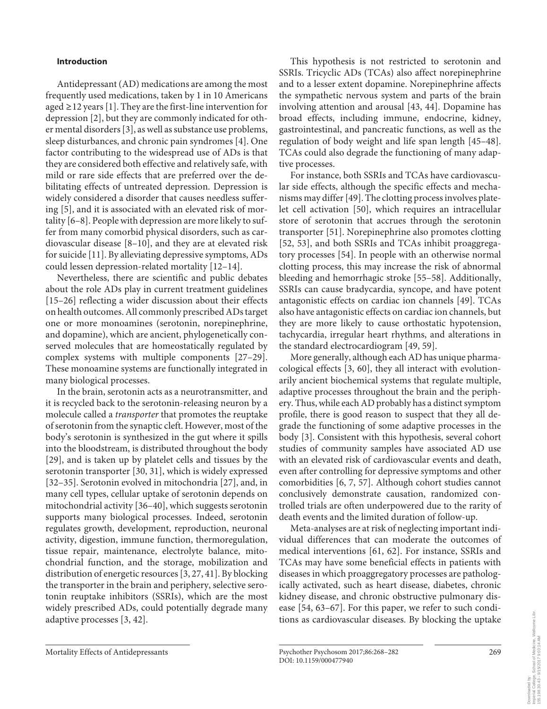#### **Introduction**

 Antidepressant (AD) medications are among the most frequently used medications, taken by 1 in 10 Americans aged  $\geq$  12 years [1]. They are the first-line intervention for depression [2], but they are commonly indicated for other mental disorders [3], as well as substance use problems, sleep disturbances, and chronic pain syndromes [4]. One factor contributing to the widespread use of ADs is that they are considered both effective and relatively safe, with mild or rare side effects that are preferred over the debilitating effects of untreated depression. Depression is widely considered a disorder that causes needless suffering [5], and it is associated with an elevated risk of mortality [6–8] . People with depression are more likely to suffer from many comorbid physical disorders, such as cardiovascular disease  $[8-10]$ , and they are at elevated risk for suicide [11] . By alleviating depressive symptoms, ADs could lessen depression-related mortality [12–14] .

 Nevertheless, there are scientific and public debates about the role ADs play in current treatment guidelines [15–26] reflecting a wider discussion about their effects on health outcomes. All commonly prescribed ADs target one or more monoamines (serotonin, norepinephrine, and dopamine), which are ancient, phylogenetically conserved molecules that are homeostatically regulated by complex systems with multiple components [27–29]. These monoamine systems are functionally integrated in many biological processes.

 In the brain, serotonin acts as a neurotransmitter, and it is recycled back to the serotonin-releasing neuron by a molecule called a *transporter* that promotes the reuptake of serotonin from the synaptic cleft. However, most of the body's serotonin is synthesized in the gut where it spills into the bloodstream, is distributed throughout the body [29], and is taken up by platelet cells and tissues by the serotonin transporter [30, 31], which is widely expressed [32–35]. Serotonin evolved in mitochondria [27], and, in many cell types, cellular uptake of serotonin depends on mitochondrial activity [36–40], which suggests serotonin supports many biological processes. Indeed, serotonin regulates growth, development, reproduction, neuronal activity, digestion, immune function, thermoregulation, tissue repair, maintenance, electrolyte balance, mitochondrial function, and the storage, mobilization and distribution of energetic resources [3, 27, 41] . By blocking the transporter in the brain and periphery, selective serotonin reuptake inhibitors (SSRIs), which are the most widely prescribed ADs, could potentially degrade many adaptive processes [3, 42] .

 This hypothesis is not restricted to serotonin and SSRIs. Tricyclic ADs (TCAs) also affect norepinephrine and to a lesser extent dopamine. Norepinephrine affects the sympathetic nervous system and parts of the brain involving attention and arousal [43, 44]. Dopamine has broad effects, including immune, endocrine, kidney, gastrointestinal, and pancreatic functions, as well as the regulation of body weight and life span length [45–48] . TCAs could also degrade the functioning of many adaptive processes.

 For instance, both SSRIs and TCAs have cardiovascular side effects, although the specific effects and mechanisms may differ [49] . The clotting process involves platelet cell activation [50], which requires an intracellular store of serotonin that accrues through the serotonin transporter [51] . Norepinephrine also promotes clotting [52, 53], and both SSRIs and TCAs inhibit proaggregatory processes [54]. In people with an otherwise normal clotting process, this may increase the risk of abnormal bleeding and hemorrhagic stroke [55–58]. Additionally, SSRIs can cause bradycardia, syncope, and have potent antagonistic effects on cardiac ion channels [49]. TCAs also have antagonistic effects on cardiac ion channels, but they are more likely to cause orthostatic hypotension, tachycardia, irregular heart rhythms, and alterations in the standard electrocardiogram [49, 59] .

 More generally, although each AD has unique pharmacological effects  $[3, 60]$ , they all interact with evolutionarily ancient biochemical systems that regulate multiple, adaptive processes throughout the brain and the periphery. Thus, while each AD probably has a distinct symptom profile, there is good reason to suspect that they all degrade the functioning of some adaptive processes in the body [3]. Consistent with this hypothesis, several cohort studies of community samples have associated AD use with an elevated risk of cardiovascular events and death, even after controlling for depressive symptoms and other comorbidities [6, 7, 57] . Although cohort studies cannot conclusively demonstrate causation, randomized controlled trials are often underpowered due to the rarity of death events and the limited duration of follow-up.

 Meta-analyses are at risk of neglecting important individual differences that can moderate the outcomes of medical interventions [61, 62]. For instance, SSRIs and TCAs may have some beneficial effects in patients with diseases in which proaggregatory processes are pathologically activated, such as heart disease, diabetes, chronic kidney disease, and chronic obstructive pulmonary disease [54, 63–67]. For this paper, we refer to such conditions as cardiovascular diseases. By blocking the uptake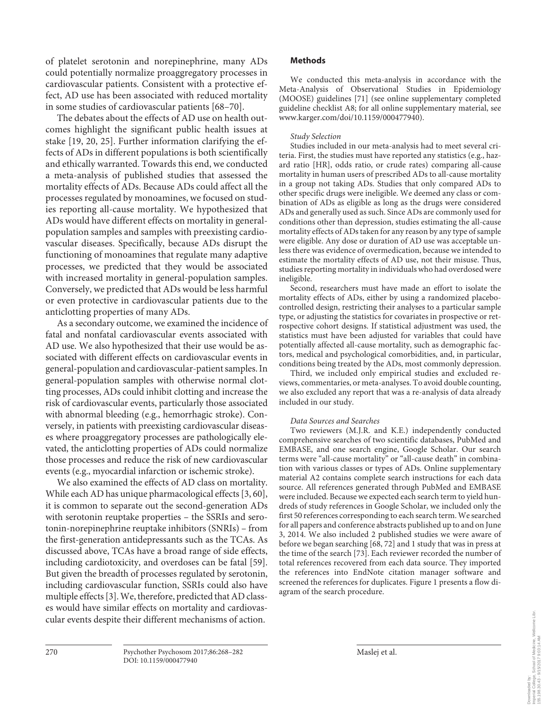of platelet serotonin and norepinephrine, many ADs could potentially normalize proaggregatory processes in cardiovascular patients. Consistent with a protective effect, AD use has been associated with reduced mortality in some studies of cardiovascular patients [68–70] .

 The debates about the effects of AD use on health outcomes highlight the significant public health issues at stake [19, 20, 25]. Further information clarifying the effects of ADs in different populations is both scientifically and ethically warranted. Towards this end, we conducted a meta-analysis of published studies that assessed the mortality effects of ADs. Because ADs could affect all the processes regulated by monoamines, we focused on studies reporting all-cause mortality. We hypothesized that ADs would have different effects on mortality in generalpopulation samples and samples with preexisting cardiovascular diseases. Specifically, because ADs disrupt the functioning of monoamines that regulate many adaptive processes, we predicted that they would be associated with increased mortality in general-population samples. Conversely, we predicted that ADs would be less harmful or even protective in cardiovascular patients due to the anticlotting properties of many ADs.

 As a secondary outcome, we examined the incidence of fatal and nonfatal cardiovascular events associated with AD use. We also hypothesized that their use would be associated with different effects on cardiovascular events in general-population and cardiovascular-patient samples. In general-population samples with otherwise normal clotting processes, ADs could inhibit clotting and increase the risk of cardiovascular events, particularly those associated with abnormal bleeding (e.g., hemorrhagic stroke). Conversely, in patients with preexisting cardiovascular diseases where proaggregatory processes are pathologically elevated, the anticlotting properties of ADs could normalize those processes and reduce the risk of new cardiovascular events (e.g., myocardial infarction or ischemic stroke).

 We also examined the effects of AD class on mortality. While each AD has unique pharmacological effects [3, 60], it is common to separate out the second-generation ADs with serotonin reuptake properties – the SSRIs and serotonin-norepinephrine reuptake inhibitors (SNRIs) – from the first-generation antidepressants such as the TCAs. As discussed above, TCAs have a broad range of side effects, including cardiotoxicity, and overdoses can be fatal [59] . But given the breadth of processes regulated by serotonin, including cardiovascular function, SSRIs could also have multiple effects [3]. We, therefore, predicted that AD classes would have similar effects on mortality and cardiovascular events despite their different mechanisms of action.

## **Methods**

 We conducted this meta-analysis in accordance with the Meta-Analysis of Observational Studies in Epidemiology (MOOSE) guidelines [71] (see online supplementary completed guideline checklist A8; for all online supplementary material, see www.karger.com/doi/10.1159/000477940).

#### *Study Selection*

 Studies included in our meta-analysis had to meet several criteria. First, the studies must have reported any statistics (e.g., hazard ratio [HR], odds ratio, or crude rates) comparing all-cause mortality in human users of prescribed ADs to all-cause mortality in a group not taking ADs. Studies that only compared ADs to other specific drugs were ineligible. We deemed any class or combination of ADs as eligible as long as the drugs were considered ADs and generally used as such. Since ADs are commonly used for conditions other than depression, studies estimating the all-cause mortality effects of ADs taken for any reason by any type of sample were eligible. Any dose or duration of AD use was acceptable unless there was evidence of overmedication, because we intended to estimate the mortality effects of AD use, not their misuse. Thus, studies reporting mortality in individuals who had overdosed were ineligible.

 Second, researchers must have made an effort to isolate the mortality effects of ADs, either by using a randomized placebocontrolled design, restricting their analyses to a particular sample type, or adjusting the statistics for covariates in prospective or retrospective cohort designs. If statistical adjustment was used, the statistics must have been adjusted for variables that could have potentially affected all-cause mortality, such as demographic factors, medical and psychological comorbidities, and, in particular, conditions being treated by the ADs, most commonly depression.

 Third, we included only empirical studies and excluded reviews, commentaries, or meta-analyses. To avoid double counting, we also excluded any report that was a re-analysis of data already included in our study.

#### *Data Sources and Searches*

 Two reviewers (M.J.R. and K.E.) independently conducted comprehensive searches of two scientific databases, PubMed and EMBASE, and one search engine, Google Scholar. Our search terms were "all-cause mortality" or "all-cause death" in combination with various classes or types of ADs. Online supplementary material A2 contains complete search instructions for each data source. All references generated through PubMed and EMBASE were included. Because we expected each search term to yield hundreds of study references in Google Scholar, we included only the first 50 references corresponding to each search term. We searched for all papers and conference abstracts published up to and on June 3, 2014. We also included 2 published studies we were aware of before we began searching [68, 72] and 1 study that was in press at the time of the search [73] . Each reviewer recorded the number of total references recovered from each data source. They imported the references into EndNote citation manager software and screened the references for duplicates. Figure 1 presents a flow diagram of the search procedure.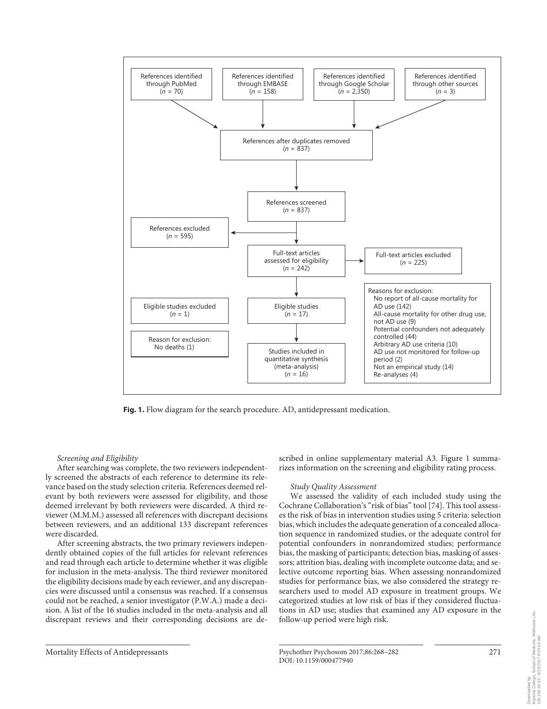

**Fig. 1.** Flow diagram for the search procedure. AD, antidepressant medication.

 *Screening and Eligibility* 

 After searching was complete, the two reviewers independently screened the abstracts of each reference to determine its relevance based on the study selection criteria. References deemed relevant by both reviewers were assessed for eligibility, and those deemed irrelevant by both reviewers were discarded. A third reviewer (M.M.M.) assessed all references with discrepant decisions between reviewers, and an additional 133 discrepant references were discarded.

 After screening abstracts, the two primary reviewers independently obtained copies of the full articles for relevant references and read through each article to determine whether it was eligible for inclusion in the meta-analysis. The third reviewer monitored the eligibility decisions made by each reviewer, and any discrepancies were discussed until a consensus was reached. If a consensus could not be reached, a senior investigator (P.W.A.) made a decision. A list of the 16 studies included in the meta-analysis and all discrepant reviews and their corresponding decisions are described in online supplementary material A3. Figure 1 summarizes information on the screening and eligibility rating process.

#### *Study Quality Assessment*

 We assessed the validity of each included study using the Cochrane Collaboration's "risk of bias" tool [74] . This tool assesses the risk of bias in intervention studies using 5 criteria: selection bias, which includes the adequate generation of a concealed allocation sequence in randomized studies, or the adequate control for potential confounders in nonrandomized studies; performance bias, the masking of participants; detection bias, masking of assessors; attrition bias, dealing with incomplete outcome data; and selective outcome reporting bias. When assessing nonrandomized studies for performance bias, we also considered the strategy researchers used to model AD exposure in treatment groups. We categorized studies at low risk of bias if they considered fluctuations in AD use; studies that examined any AD exposure in the follow-up period were high risk.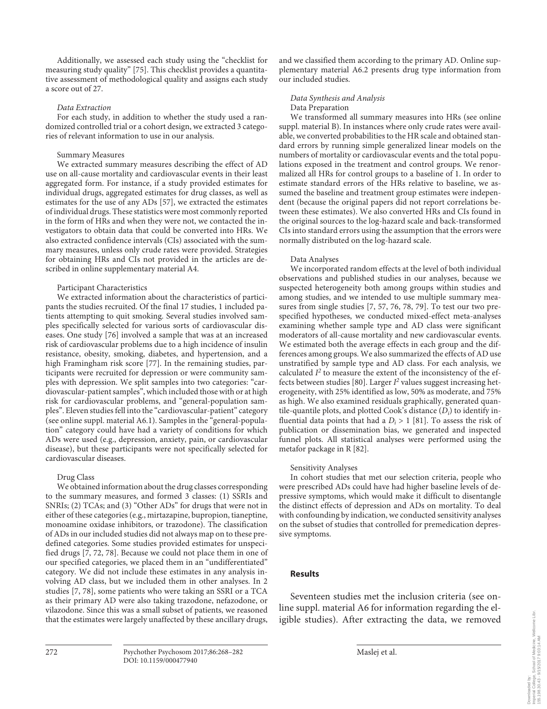Additionally, we assessed each study using the "checklist for measuring study quality" [75]. This checklist provides a quantitative assessment of methodological quality and assigns each study a score out of 27.

#### *Data Extraction*

 For each study, in addition to whether the study used a randomized controlled trial or a cohort design, we extracted 3 categories of relevant information to use in our analysis.

#### Summary Measures

 We extracted summary measures describing the effect of AD use on all-cause mortality and cardiovascular events in their least aggregated form. For instance, if a study provided estimates for individual drugs, aggregated estimates for drug classes, as well as estimates for the use of any ADs [57], we extracted the estimates of individual drugs. These statistics were most commonly reported in the form of HRs and when they were not, we contacted the investigators to obtain data that could be converted into HRs. We also extracted confidence intervals (CIs) associated with the summary measures, unless only crude rates were provided. Strategies for obtaining HRs and CIs not provided in the articles are described in online supplementary material A4.

#### Participant Characteristics

 We extracted information about the characteristics of participants the studies recruited. Of the final 17 studies, 1 included patients attempting to quit smoking. Several studies involved samples specifically selected for various sorts of cardiovascular diseases. One study [76] involved a sample that was at an increased risk of cardiovascular problems due to a high incidence of insulin resistance, obesity, smoking, diabetes, and hypertension, and a high Framingham risk score [77]. In the remaining studies, participants were recruited for depression or were community samples with depression. We split samples into two categories: "cardiovascular-patient samples", which included those with or at high risk for cardiovascular problems, and "general-population samples". Eleven studies fell into the "cardiovascular-patient" category (see online suppl. material A6.1). Samples in the "general-population" category could have had a variety of conditions for which ADs were used (e.g., depression, anxiety, pain, or cardiovascular disease), but these participants were not specifically selected for cardiovascular diseases.

#### Drug Class

 We obtained information about the drug classes corresponding to the summary measures, and formed 3 classes: (1) SSRIs and SNRIs; (2) TCAs; and (3) "Other ADs" for drugs that were not in either of these categories (e.g., mirtazapine, bupropion, tianeptine, monoamine oxidase inhibitors, or trazodone). The classification of ADs in our included studies did not always map on to these predefined categories. Some studies provided estimates for unspecified drugs [7, 72, 78] . Because we could not place them in one of our specified categories, we placed them in an "undifferentiated" category. We did not include these estimates in any analysis involving AD class, but we included them in other analyses. In 2 studies [7, 78], some patients who were taking an SSRI or a TCA as their primary AD were also taking trazodone, nefazodone, or vilazodone. Since this was a small subset of patients, we reasoned that the estimates were largely unaffected by these ancillary drugs,

and we classified them according to the primary AD. Online supplementary material A6.2 presents drug type information from our included studies.

#### *Data Synthesis and Analysis*  Data Preparation

 We transformed all summary measures into HRs (see online suppl. material B). In instances where only crude rates were available, we converted probabilities to the HR scale and obtained standard errors by running simple generalized linear models on the numbers of mortality or cardiovascular events and the total populations exposed in the treatment and control groups. We renormalized all HRs for control groups to a baseline of 1. In order to estimate standard errors of the HRs relative to baseline, we assumed the baseline and treatment group estimates were independent (because the original papers did not report correlations between these estimates). We also converted HRs and CIs found in the original sources to the log-hazard scale and back-transformed CIs into standard errors using the assumption that the errors were normally distributed on the log-hazard scale.

#### Data Analyses

 We incorporated random effects at the level of both individual observations and published studies in our analyses, because we suspected heterogeneity both among groups within studies and among studies, and we intended to use multiple summary measures from single studies [7, 57, 76, 78, 79]. To test our two prespecified hypotheses, we conducted mixed-effect meta-analyses examining whether sample type and AD class were significant moderators of all-cause mortality and new cardiovascular events. We estimated both the average effects in each group and the differences among groups. We also summarized the effects of AD use unstratified by sample type and AD class. For each analysis, we calculated  $I^2$  to measure the extent of the inconsistency of the effects between studies [80]. Larger  $I^2$  values suggest increasing heterogeneity, with 25% identified as low, 50% as moderate, and 75% as high. We also examined residuals graphically, generated quantile-quantile plots, and plotted Cook's distance  $(D<sub>i</sub>)$  to identify influential data points that had a  $D_i > 1$  [81]. To assess the risk of publication or dissemination bias, we generated and inspected funnel plots. All statistical analyses were performed using the metafor package in R [82] .

#### Sensitivity Analyses

 In cohort studies that met our selection criteria, people who were prescribed ADs could have had higher baseline levels of depressive symptoms, which would make it difficult to disentangle the distinct effects of depression and ADs on mortality. To deal with confounding by indication, we conducted sensitivity analyses on the subset of studies that controlled for premedication depressive symptoms.

#### **Results**

 Seventeen studies met the inclusion criteria (see online suppl. material A6 for information regarding the eligible studies). After extracting the data, we removed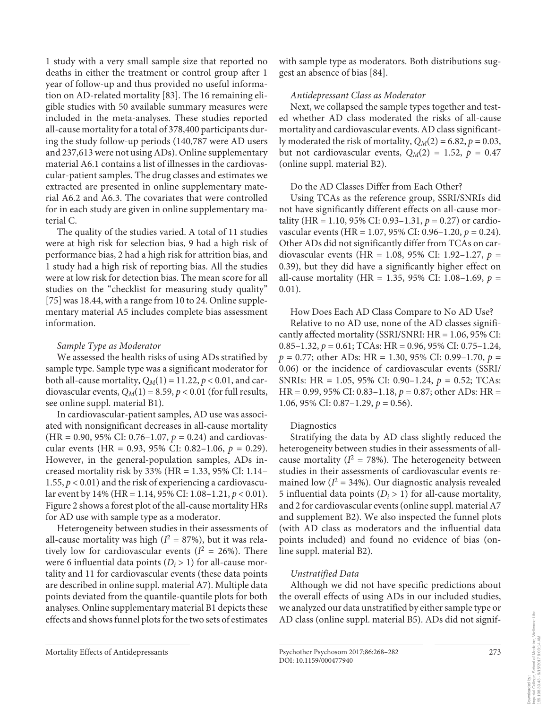1 study with a very small sample size that reported no deaths in either the treatment or control group after 1 year of follow-up and thus provided no useful information on AD-related mortality [83] . The 16 remaining eligible studies with 50 available summary measures were included in the meta-analyses. These studies reported all-cause mortality for a total of 378,400 participants during the study follow-up periods (140,787 were AD users and 237,613 were not using ADs). Online supplementary material A6.1 contains a list of illnesses in the cardiovascular-patient samples. The drug classes and estimates we extracted are presented in online supplementary material A6.2 and A6.3. The covariates that were controlled for in each study are given in online supplementary material C.

 The quality of the studies varied. A total of 11 studies were at high risk for selection bias, 9 had a high risk of performance bias, 2 had a high risk for attrition bias, and 1 study had a high risk of reporting bias. All the studies were at low risk for detection bias. The mean score for all studies on the "checklist for measuring study quality" [75] was 18.44, with a range from 10 to 24. Online supplementary material A5 includes complete bias assessment information.

## *Sample Type as Moderator*

 We assessed the health risks of using ADs stratified by sample type. Sample type was a significant moderator for both all-cause mortality,  $Q_M(1) = 11.22$ ,  $p < 0.01$ , and cardiovascular events,  $Q_M(1) = 8.59$ ,  $p < 0.01$  (for full results, see online suppl. material B1).

 In cardiovascular-patient samples, AD use was associated with nonsignificant decreases in all-cause mortality (HR = 0.90, 95% CI: 0.76–1.07, *p* = 0.24) and cardiovascular events (HR = 0.93, 95% CI: 0.82–1.06, *p* = 0.29). However, in the general-population samples, ADs increased mortality risk by 33% (HR = 1.33, 95% CI: 1.14– 1.55,  $p < 0.01$ ) and the risk of experiencing a cardiovascular event by 14% (HR = 1.14, 95% CI: 1.08–1.21, *p* < 0.01). Figure 2 shows a forest plot of the all-cause mortality HRs for AD use with sample type as a moderator.

 Heterogeneity between studies in their assessments of all-cause mortality was high  $(I^2 = 87\%)$ , but it was relatively low for cardiovascular events ( $I^2 = 26\%$ ). There were 6 influential data points  $(D<sub>i</sub> > 1)$  for all-cause mortality and 11 for cardiovascular events (these data points are described in online suppl. material A7). Multiple data points deviated from the quantile-quantile plots for both analyses. Online supplementary material B1 depicts these effects and shows funnel plots for the two sets of estimates

with sample type as moderators. Both distributions suggest an absence of bias [84] .

## *Antidepressant Class as Moderator*

 Next, we collapsed the sample types together and tested whether AD class moderated the risks of all-cause mortality and cardiovascular events. AD class significantly moderated the risk of mortality,  $Q_M(2) = 6.82$ ,  $p = 0.03$ , but not cardiovascular events,  $Q_M(2) = 1.52$ ,  $p = 0.47$ (online suppl. material B2).

## Do the AD Classes Differ from Each Other?

 Using TCAs as the reference group, SSRI/SNRIs did not have significantly different effects on all-cause mortality (HR = 1.10, 95% CI: 0.93–1.31, *p* = 0.27) or cardiovascular events (HR = 1.07, 95% CI: 0.96–1.20, *p* = 0.24). Other ADs did not significantly differ from TCAs on cardiovascular events (HR = 1.08, 95% CI: 1.92–1.27, *p* = 0.39), but they did have a significantly higher effect on all-cause mortality (HR = 1.35, 95% CI: 1.08–1.69, *p* = 0.01).

## How Does Each AD Class Compare to No AD Use?

 Relative to no AD use, none of the AD classes significantly affected mortality (SSRI/SNRI: HR = 1.06, 95% CI: 0.85–1.32, *p* = 0.61; TCAs: HR = 0.96, 95% CI: 0.75–1.24, *p* = 0.77; other ADs: HR = 1.30, 95% CI: 0.99–1.70, *p* = 0.06) or the incidence of cardiovascular events (SSRI/ SNRIs: HR = 1.05, 95% CI: 0.90–1.24, *p* = 0.52; TCAs: HR = 0.99, 95% CI: 0.83–1.18, *p* = 0.87; other ADs: HR = 1.06, 95% CI: 0.87–1.29, *p* = 0.56).

## Diagnostics

 Stratifying the data by AD class slightly reduced the heterogeneity between studies in their assessments of allcause mortality ( $I^2 = 78\%$ ). The heterogeneity between studies in their assessments of cardiovascular events remained low  $(I^2 = 34\%)$ . Our diagnostic analysis revealed 5 influential data points  $(D<sub>i</sub> > 1)$  for all-cause mortality, and 2 for cardiovascular events (online suppl. material A7 and supplement B2). We also inspected the funnel plots (with AD class as moderators and the influential data points included) and found no evidence of bias (online suppl. material B2).

## *Unstratified Data*

 Although we did not have specific predictions about the overall effects of using ADs in our included studies, we analyzed our data unstratified by either sample type or AD class (online suppl. material B5). ADs did not signif-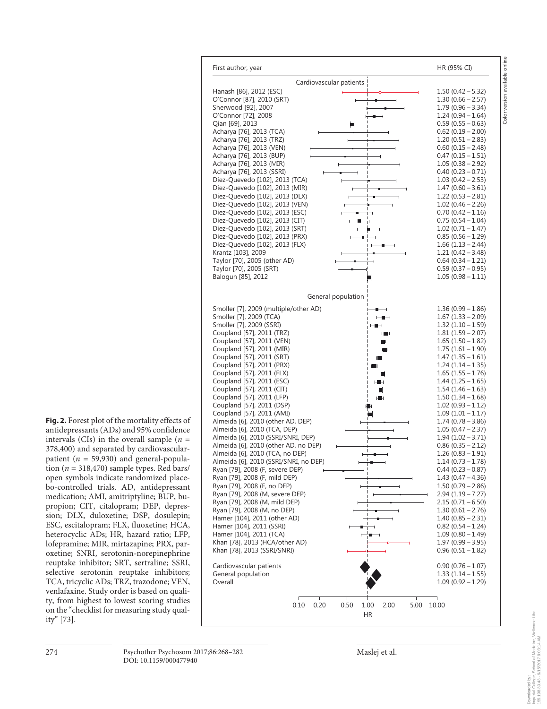**Fig. 2.** Forest plot of the mortality effects of antidepressants (ADs) and 95% confidence intervals (CIs) in the overall sample  $(n =$ 378,400) and separated by cardiovascularpatient ( $n = 59,930$ ) and general-population ( $n = 318,470$ ) sample types. Red bars/ open symbols indicate randomized placebo-controlled trials. AD, antidepressant medication; AMI, amitriptyline; BUP, bupropion; CIT, citalopram; DEP, depression; DLX, duloxetine; DSP, dosulepin; ESC, escitalopram; FLX, fluoxetine; HCA, heterocyclic ADs; HR, hazard ratio; LFP, lofepramine; MIR, mirtazapine; PRX, paroxetine; SNRI, serotonin-norepinephrine reuptake inhibitor; SRT, sertraline; SSRI, selective serotonin reuptake inhibitors; TCA, tricyclic ADs; TRZ, trazodone; VEN, venlafaxine. Study order is based on quality, from highest to lowest scoring studies on the "checklist for measuring study quality" [73] .



First author, year **HR (95% CI)** and the HR (95% CI)

Cardiovascular patients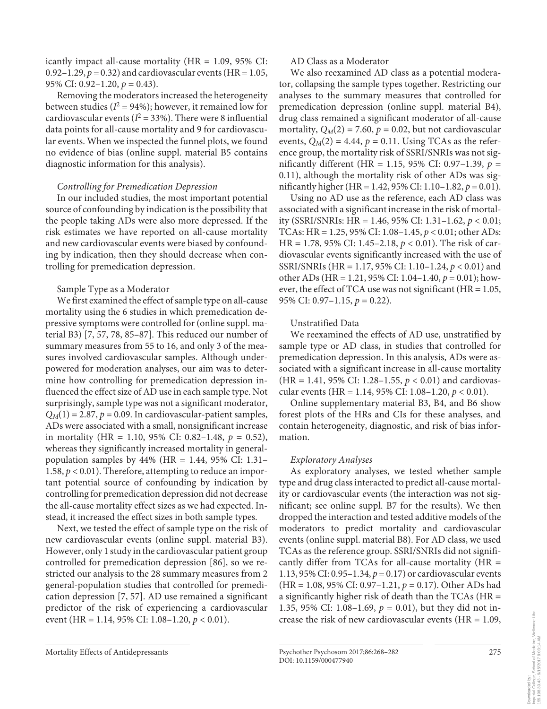icantly impact all-cause mortality  $(HR = 1.09, 95\% \text{ CI:})$ 0.92–1.29,  $p = 0.32$ ) and cardiovascular events (HR = 1.05, 95% CI: 0.92–1.20, *p* = 0.43).

 Removing the moderators increased the heterogeneity between studies ( $I^2 = 94\%$ ); however, it remained low for cardiovascular events ( $I^2 = 33\%$ ). There were 8 influential data points for all-cause mortality and 9 for cardiovascular events. When we inspected the funnel plots, we found no evidence of bias (online suppl. material B5 contains diagnostic information for this analysis).

## *Controlling for Premedication Depression*

 In our included studies, the most important potential source of confounding by indication is the possibility that the people taking ADs were also more depressed. If the risk estimates we have reported on all-cause mortality and new cardiovascular events were biased by confounding by indication, then they should decrease when controlling for premedication depression.

## Sample Type as a Moderator

 We first examined the effect of sample type on all-cause mortality using the 6 studies in which premedication depressive symptoms were controlled for (online suppl. material B3) [7, 57, 78, 85–87] . This reduced our number of summary measures from 55 to 16, and only 3 of the measures involved cardiovascular samples. Although underpowered for moderation analyses, our aim was to determine how controlling for premedication depression influenced the effect size of AD use in each sample type. Not surprisingly, sample type was not a significant moderator,  $Q_M(1) = 2.87$ ,  $p = 0.09$ . In cardiovascular-patient samples, ADs were associated with a small, nonsignificant increase in mortality (HR = 1.10, 95% CI: 0.82–1.48,  $p = 0.52$ ), whereas they significantly increased mortality in generalpopulation samples by 44% (HR = 1.44, 95% CI: 1.31– 1.58, *p* < 0.01). Therefore, attempting to reduce an important potential source of confounding by indication by controlling for premedication depression did not decrease the all-cause mortality effect sizes as we had expected. Instead, it increased the effect sizes in both sample types.

 Next, we tested the effect of sample type on the risk of new cardiovascular events (online suppl. material B3). However, only 1 study in the cardiovascular patient group controlled for premedication depression [86], so we restricted our analysis to the 28 summary measures from 2 general-population studies that controlled for premedication depression [7, 57] . AD use remained a significant predictor of the risk of experiencing a cardiovascular event (HR = 1.14, 95% CI: 1.08–1.20, *p* < 0.01).

## AD Class as a Moderator

 We also reexamined AD class as a potential moderator, collapsing the sample types together. Restricting our analyses to the summary measures that controlled for premedication depression (online suppl. material B4), drug class remained a significant moderator of all-cause mortality,  $Q_M(2) = 7.60$ ,  $p = 0.02$ , but not cardiovascular events,  $Q_M(2) = 4.44$ ,  $p = 0.11$ . Using TCAs as the reference group, the mortality risk of SSRI/SNRIs was not significantly different (HR = 1.15, 95% CI: 0.97–1.39, *p* = 0.11), although the mortality risk of other ADs was significantly higher (HR = 1.42, 95% CI: 1.10–1.82, *p* = 0.01).

 Using no AD use as the reference, each AD class was associated with a significant increase in the risk of mortality (SSRI/SNRIs: HR = 1.46, 95% CI: 1.31–1.62, *p* < 0.01; TCAs: HR = 1.25, 95% CI: 1.08–1.45, *p* < 0.01; other ADs: HR = 1.78, 95% CI: 1.45–2.18, *p* < 0.01). The risk of cardiovascular events significantly increased with the use of SSRI/SNRIs (HR = 1.17, 95% CI: 1.10–1.24, *p* < 0.01) and other ADs (HR = 1.21, 95% CI: 1.04–1.40, *p* = 0.01); however, the effect of TCA use was not significant ( $HR = 1.05$ , 95% CI: 0.97–1.15, *p* = 0.22).

## Unstratified Data

 We reexamined the effects of AD use, unstratified by sample type or AD class, in studies that controlled for premedication depression. In this analysis, ADs were associated with a significant increase in all-cause mortality (HR = 1.41, 95% CI: 1.28–1.55, *p* < 0.01) and cardiovascular events (HR = 1.14, 95% CI: 1.08–1.20, *p* < 0.01).

 Online supplementary material B3, B4, and B6 show forest plots of the HRs and CIs for these analyses, and contain heterogeneity, diagnostic, and risk of bias information.

## *Exploratory Analyses*

 As exploratory analyses, we tested whether sample type and drug class interacted to predict all-cause mortality or cardiovascular events (the interaction was not significant; see online suppl. B7 for the results). We then dropped the interaction and tested additive models of the moderators to predict mortality and cardiovascular events (online suppl. material B8). For AD class, we used TCAs as the reference group. SSRI/SNRIs did not significantly differ from TCAs for all-cause mortality (HR = 1.13, 95% CI: 0.95–1.34, *p* = 0.17) or cardiovascular events (HR = 1.08, 95% CI: 0.97–1.21, *p* = 0.17). Other ADs had a significantly higher risk of death than the TCAs (HR = 1.35, 95% CI: 1.08–1.69, *p* = 0.01), but they did not increase the risk of new cardiovascular events ( $HR = 1.09$ ,

Mortality Effects of Antidepressants Psychother Psychosom 2017;86:268–282 DOI: 10.1159/000477940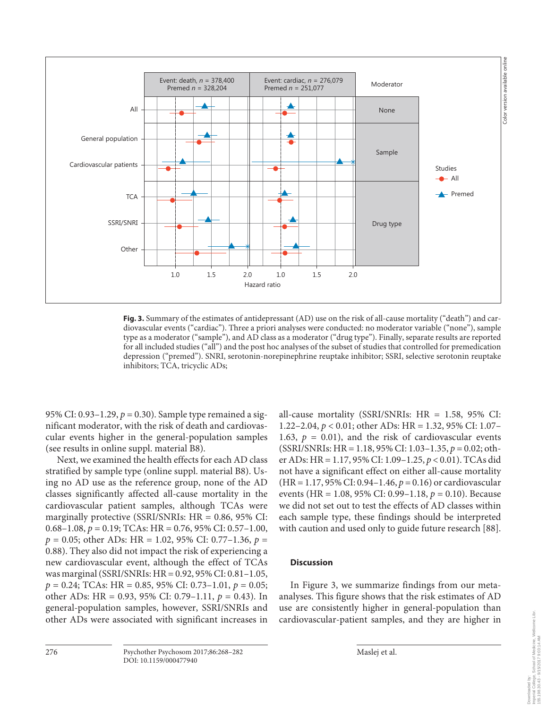

**Fig. 3.** Summary of the estimates of antidepressant (AD) use on the risk of all-cause mortality ("death") and cardiovascular events ("cardiac"). Three a priori analyses were conducted: no moderator variable ("none"), sample type as a moderator ("sample"), and AD class as a moderator ("drug type"). Finally, separate results are reported for all included studies ("all") and the post hoc analyses of the subset of studies that controlled for premedication depression ("premed"). SNRI, serotonin-norepinephrine reuptake inhibitor; SSRI, selective serotonin reuptake inhibitors; TCA, tricyclic ADs;

95% CI: 0.93–1.29, *p* = 0.30). Sample type remained a significant moderator, with the risk of death and cardiovascular events higher in the general-population samples (see results in online suppl. material B8).

 Next, we examined the health effects for each AD class stratified by sample type (online suppl. material B8). Using no AD use as the reference group, none of the AD classes significantly affected all-cause mortality in the cardiovascular patient samples, although TCAs were marginally protective (SSRI/SNRIs: HR = 0.86, 95% CI: 0.68–1.08, *p* = 0.19; TCAs: HR = 0.76, 95% CI: 0.57–1.00, *p* = 0.05; other ADs: HR = 1.02, 95% CI: 0.77–1.36, *p* = 0.88). They also did not impact the risk of experiencing a new cardiovascular event, although the effect of TCAs was marginal (SSRI/SNRIs: HR = 0.92, 95% CI: 0.81–1.05, *p* = 0.24; TCAs: HR = 0.85, 95% CI: 0.73–1.01, *p* = 0.05; other ADs: HR = 0.93, 95% CI: 0.79–1.11, *p* = 0.43). In general-population samples, however, SSRI/SNRIs and other ADs were associated with significant increases in

all-cause mortality (SSRI/SNRIs: HR = 1.58, 95% CI: 1.22–2.04, *p* < 0.01; other ADs: HR = 1.32, 95% CI: 1.07– 1.63,  $p = 0.01$ ), and the risk of cardiovascular events (SSRI/SNRIs: HR = 1.18, 95% CI: 1.03–1.35, *p* = 0.02; other ADs: HR = 1.17, 95% CI: 1.09–1.25, *p* < 0.01). TCAs did not have a significant effect on either all-cause mortality (HR = 1.17, 95% CI: 0.94–1.46, *p* = 0.16) or cardiovascular events (HR = 1.08, 95% CI: 0.99–1.18, *p* = 0.10). Because we did not set out to test the effects of AD classes within each sample type, these findings should be interpreted with caution and used only to guide future research [88] .

## **Discussion**

In Figure 3, we summarize findings from our metaanalyses. This figure shows that the risk estimates of AD use are consistently higher in general-population than cardiovascular-patient samples, and they are higher in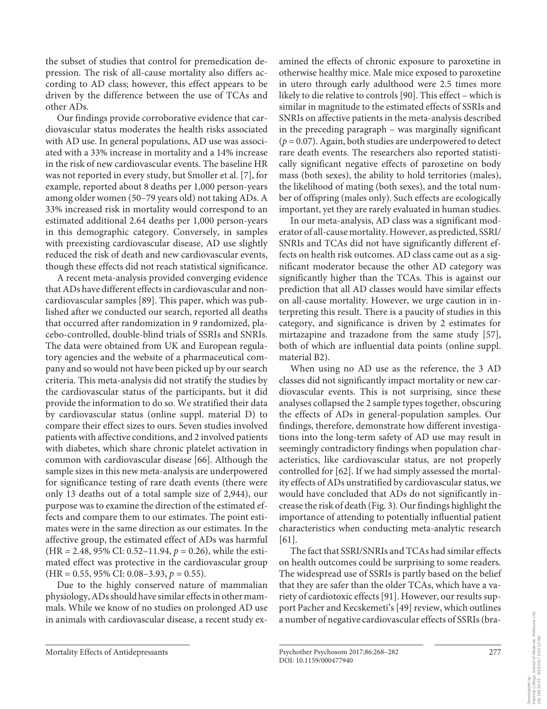the subset of studies that control for premedication depression. The risk of all-cause mortality also differs according to AD class; however, this effect appears to be driven by the difference between the use of TCAs and other ADs.

 Our findings provide corroborative evidence that cardiovascular status moderates the health risks associated with AD use. In general populations, AD use was associated with a 33% increase in mortality and a 14% increase in the risk of new cardiovascular events. The baseline HR was not reported in every study, but Smoller et al. [7], for example, reported about 8 deaths per 1,000 person-years among older women (50–79 years old) not taking ADs. A 33% increased risk in mortality would correspond to an estimated additional 2.64 deaths per 1,000 person-years in this demographic category. Conversely, in samples with preexisting cardiovascular disease, AD use slightly reduced the risk of death and new cardiovascular events, though these effects did not reach statistical significance.

 A recent meta-analysis provided converging evidence that ADs have different effects in cardiovascular and noncardiovascular samples [89]. This paper, which was published after we conducted our search, reported all deaths that occurred after randomization in 9 randomized, placebo-controlled, double-blind trials of SSRIs and SNRIs. The data were obtained from UK and European regulatory agencies and the website of a pharmaceutical company and so would not have been picked up by our search criteria. This meta-analysis did not stratify the studies by the cardiovascular status of the participants, but it did provide the information to do so. We stratified their data by cardiovascular status (online suppl. material D) to compare their effect sizes to ours. Seven studies involved patients with affective conditions, and 2 involved patients with diabetes, which share chronic platelet activation in common with cardiovascular disease [66] . Although the sample sizes in this new meta-analysis are underpowered for significance testing of rare death events (there were only 13 deaths out of a total sample size of 2,944), our purpose was to examine the direction of the estimated effects and compare them to our estimates. The point estimates were in the same direction as our estimates. In the affective group, the estimated effect of ADs was harmful (HR = 2.48, 95% CI: 0.52–11.94, *p* = 0.26), while the estimated effect was protective in the cardiovascular group  $(HR = 0.55, 95\% \text{ CI: } 0.08-3.93, p = 0.55).$ 

 Due to the highly conserved nature of mammalian physiology, ADs should have similar effects in other mammals. While we know of no studies on prolonged AD use in animals with cardiovascular disease, a recent study examined the effects of chronic exposure to paroxetine in otherwise healthy mice. Male mice exposed to paroxetine in utero through early adulthood were 2.5 times more likely to die relative to controls [90]. This effect – which is similar in magnitude to the estimated effects of SSRIs and SNRIs on affective patients in the meta-analysis described in the preceding paragraph – was marginally significant  $(p = 0.07)$ . Again, both studies are underpowered to detect rare death events. The researchers also reported statistically significant negative effects of paroxetine on body mass (both sexes), the ability to hold territories (males), the likelihood of mating (both sexes), and the total number of offspring (males only). Such effects are ecologically important, yet they are rarely evaluated in human studies.

 In our meta-analysis, AD class was a significant moderator of all-cause mortality. However, as predicted, SSRI/ SNRIs and TCAs did not have significantly different effects on health risk outcomes. AD class came out as a significant moderator because the other AD category was significantly higher than the TCAs. This is against our prediction that all AD classes would have similar effects on all-cause mortality. However, we urge caution in interpreting this result. There is a paucity of studies in this category, and significance is driven by 2 estimates for mirtazapine and trazadone from the same study [57], both of which are influential data points (online suppl. material B2).

 When using no AD use as the reference, the 3 AD classes did not significantly impact mortality or new cardiovascular events. This is not surprising, since these analyses collapsed the 2 sample types together, obscuring the effects of ADs in general-population samples. Our findings, therefore, demonstrate how different investigations into the long-term safety of AD use may result in seemingly contradictory findings when population characteristics, like cardiovascular status, are not properly controlled for [62] . If we had simply assessed the mortality effects of ADs unstratified by cardiovascular status, we would have concluded that ADs do not significantly increase the risk of death ( Fig. 3 ). Our findings highlight the importance of attending to potentially influential patient characteristics when conducting meta-analytic research  $[61]$ .

 The fact that SSRI/SNRIs and TCAs had similar effects on health outcomes could be surprising to some readers. The widespread use of SSRIs is partly based on the belief that they are safer than the older TCAs, which have a variety of cardiotoxic effects [91] . However, our results support Pacher and Kecskemeti's [49] review, which outlines a number of negative cardiovascular effects of SSRIs (bra-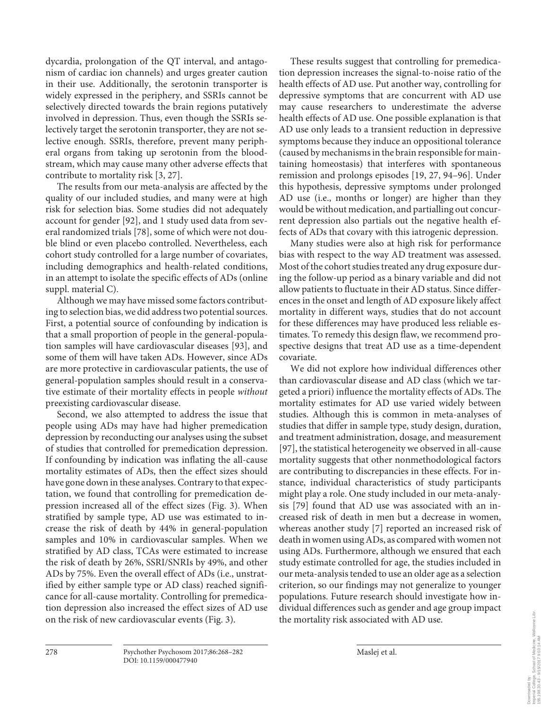dycardia, prolongation of the QT interval, and antagonism of cardiac ion channels) and urges greater caution in their use. Additionally, the serotonin transporter is widely expressed in the periphery, and SSRIs cannot be selectively directed towards the brain regions putatively involved in depression. Thus, even though the SSRIs selectively target the serotonin transporter, they are not selective enough. SSRIs, therefore, prevent many peripheral organs from taking up serotonin from the bloodstream, which may cause many other adverse effects that contribute to mortality risk [3, 27] .

 The results from our meta-analysis are affected by the quality of our included studies, and many were at high risk for selection bias. Some studies did not adequately account for gender [92], and 1 study used data from several randomized trials [78], some of which were not double blind or even placebo controlled. Nevertheless, each cohort study controlled for a large number of covariates, including demographics and health-related conditions, in an attempt to isolate the specific effects of ADs (online suppl. material C).

 Although we may have missed some factors contributing to selection bias, we did address two potential sources. First, a potential source of confounding by indication is that a small proportion of people in the general-population samples will have cardiovascular diseases [93], and some of them will have taken ADs. However, since ADs are more protective in cardiovascular patients, the use of general-population samples should result in a conservative estimate of their mortality effects in people *without* preexisting cardiovascular disease.

 Second, we also attempted to address the issue that people using ADs may have had higher premedication depression by reconducting our analyses using the subset of studies that controlled for premedication depression. If confounding by indication was inflating the all-cause mortality estimates of ADs, then the effect sizes should have gone down in these analyses. Contrary to that expectation, we found that controlling for premedication depression increased all of the effect sizes (Fig. 3). When stratified by sample type, AD use was estimated to increase the risk of death by 44% in general-population samples and 10% in cardiovascular samples. When we stratified by AD class, TCAs were estimated to increase the risk of death by 26%, SSRI/SNRIs by 49%, and other ADs by 75%. Even the overall effect of ADs (i.e., unstratified by either sample type or AD class) reached significance for all-cause mortality. Controlling for premedication depression also increased the effect sizes of AD use on the risk of new cardiovascular events (Fig. 3).

 These results suggest that controlling for premedication depression increases the signal-to-noise ratio of the health effects of AD use. Put another way, controlling for depressive symptoms that are concurrent with AD use may cause researchers to underestimate the adverse health effects of AD use. One possible explanation is that AD use only leads to a transient reduction in depressive symptoms because they induce an oppositional tolerance (caused by mechanisms in the brain responsible for maintaining homeostasis) that interferes with spontaneous remission and prolongs episodes [19, 27, 94-96]. Under this hypothesis, depressive symptoms under prolonged AD use (i.e., months or longer) are higher than they would be without medication, and partialling out concurrent depression also partials out the negative health effects of ADs that covary with this iatrogenic depression.

 Many studies were also at high risk for performance bias with respect to the way AD treatment was assessed. Most of the cohort studies treated any drug exposure during the follow-up period as a binary variable and did not allow patients to fluctuate in their AD status. Since differences in the onset and length of AD exposure likely affect mortality in different ways, studies that do not account for these differences may have produced less reliable estimates. To remedy this design flaw, we recommend prospective designs that treat AD use as a time-dependent covariate.

 We did not explore how individual differences other than cardiovascular disease and AD class (which we targeted a priori) influence the mortality effects of ADs. The mortality estimates for AD use varied widely between studies. Although this is common in meta-analyses of studies that differ in sample type, study design, duration, and treatment administration, dosage, and measurement [97], the statistical heterogeneity we observed in all-cause mortality suggests that other nonmethodological factors are contributing to discrepancies in these effects. For instance, individual characteristics of study participants might play a role. One study included in our meta-analysis [79] found that AD use was associated with an increased risk of death in men but a decrease in women, whereas another study [7] reported an increased risk of death in women using ADs, as compared with women not using ADs. Furthermore, although we ensured that each study estimate controlled for age, the studies included in our meta-analysis tended to use an older age as a selection criterion, so our findings may not generalize to younger populations. Future research should investigate how individual differences such as gender and age group impact the mortality risk associated with AD use.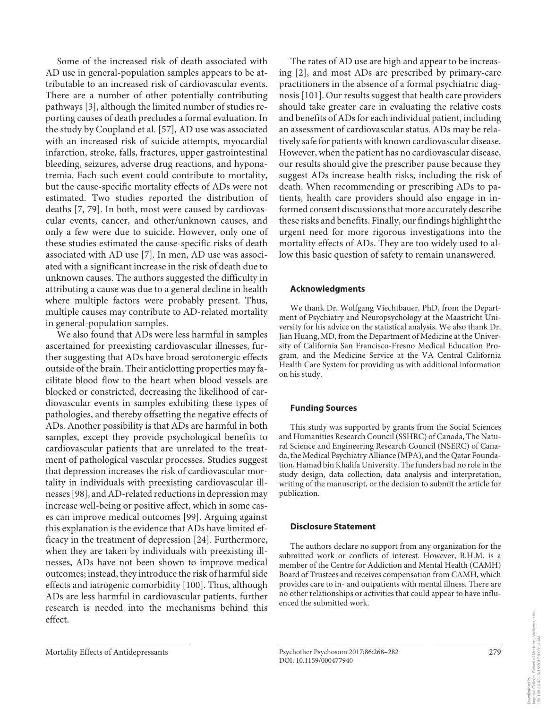Some of the increased risk of death associated with AD use in general-population samples appears to be attributable to an increased risk of cardiovascular events. There are a number of other potentially contributing pathways [3], although the limited number of studies reporting causes of death precludes a formal evaluation. In the study by Coupland et al. [57], AD use was associated with an increased risk of suicide attempts, myocardial infarction, stroke, falls, fractures, upper gastrointestinal bleeding, seizures, adverse drug reactions, and hyponatremia. Each such event could contribute to mortality, but the cause-specific mortality effects of ADs were not estimated. Two studies reported the distribution of deaths [7, 79]. In both, most were caused by cardiovascular events, cancer, and other/unknown causes, and only a few were due to suicide. However, only one of these studies estimated the cause-specific risks of death associated with AD use [7]. In men, AD use was associated with a significant increase in the risk of death due to unknown causes. The authors suggested the difficulty in attributing a cause was due to a general decline in health where multiple factors were probably present. Thus, multiple causes may contribute to AD-related mortality in general-population samples.

 We also found that ADs were less harmful in samples ascertained for preexisting cardiovascular illnesses, further suggesting that ADs have broad serotonergic effects outside of the brain. Their anticlotting properties may facilitate blood flow to the heart when blood vessels are blocked or constricted, decreasing the likelihood of cardiovascular events in samples exhibiting these types of pathologies, and thereby offsetting the negative effects of ADs. Another possibility is that ADs are harmful in both samples, except they provide psychological benefits to cardiovascular patients that are unrelated to the treatment of pathological vascular processes. Studies suggest that depression increases the risk of cardiovascular mortality in individuals with preexisting cardiovascular illnesses [98], and AD-related reductions in depression may increase well-being or positive affect, which in some cases can improve medical outcomes [99]. Arguing against this explanation is the evidence that ADs have limited efficacy in the treatment of depression [24] . Furthermore, when they are taken by individuals with preexisting illnesses, ADs have not been shown to improve medical outcomes; instead, they introduce the risk of harmful side effects and iatrogenic comorbidity [100]. Thus, although ADs are less harmful in cardiovascular patients, further research is needed into the mechanisms behind this effect.

 The rates of AD use are high and appear to be increasing [2], and most ADs are prescribed by primary-care practitioners in the absence of a formal psychiatric diagnosis [101] . Our results suggest that health care providers should take greater care in evaluating the relative costs and benefits of ADs for each individual patient, including an assessment of cardiovascular status. ADs may be relatively safe for patients with known cardiovascular disease. However, when the patient has no cardiovascular disease, our results should give the prescriber pause because they suggest ADs increase health risks, including the risk of death. When recommending or prescribing ADs to patients, health care providers should also engage in informed consent discussions that more accurately describe these risks and benefits. Finally, our findings highlight the urgent need for more rigorous investigations into the mortality effects of ADs. They are too widely used to allow this basic question of safety to remain unanswered.

#### **Acknowledgments**

 We thank Dr. Wolfgang Viechtbauer, PhD, from the Department of Psychiatry and Neuropsychology at the Maastricht University for his advice on the statistical analysis. We also thank Dr. Jian Huang, MD, from the Department of Medicine at the University of California San Francisco-Fresno Medical Education Program, and the Medicine Service at the VA Central California Health Care System for providing us with additional information on his study.

## **Funding Sources**

 This study was supported by grants from the Social Sciences and Humanities Research Council (SSHRC) of Canada, The Natural Science and Engineering Research Council (NSERC) of Canada, the Medical Psychiatry Alliance (MPA), and the Qatar Foundation, Hamad bin Khalifa University. The funders had no role in the study design, data collection, data analysis and interpretation, writing of the manuscript, or the decision to submit the article for publication.

## **Disclosure Statement**

 The authors declare no support from any organization for the submitted work or conflicts of interest. However, B.H.M. is a member of the Centre for Addiction and Mental Health (CAMH) Board of Trustees and receives compensation from CAMH, which provides care to in- and outpatients with mental illness. There are no other relationships or activities that could appear to have influenced the submitted work.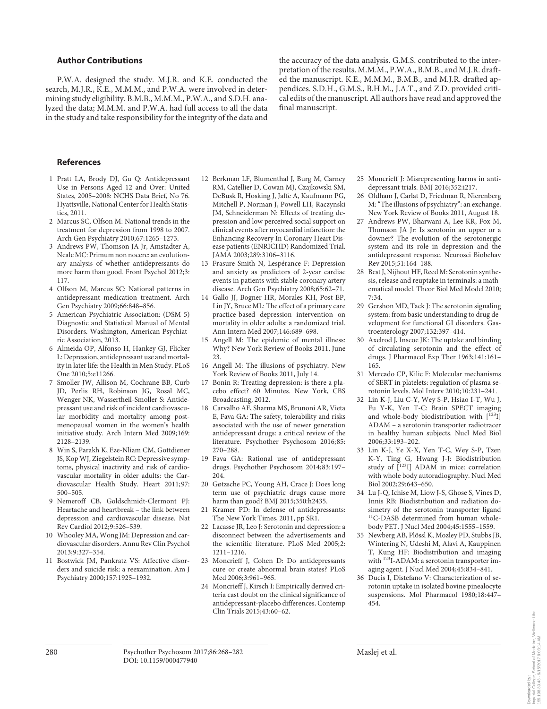#### **Author Contributions**

 P.W.A. designed the study. M.J.R. and K.E. conducted the search, M.J.R., K.E., M.M.M., and P.W.A. were involved in determining study eligibility. B.M.B., M.M.M., P.W.A., and S.D.H. analyzed the data; M.M.M. and P.W.A. had full access to all the data in the study and take responsibility for the integrity of the data and the accuracy of the data analysis. G.M.S. contributed to the interpretation of the results. M.M.M., P.W.A., B.M.B., and M.J.R. drafted the manuscript. K.E., M.M.M., B.M.B., and M.J.R. drafted appendices. S.D.H., G.M.S., B.H.M., J.A.T., and Z.D. provided critical edits of the manuscript. All authors have read and approved the final manuscript.

#### **References**

- 1 Pratt LA, Brody DJ, Gu Q: Antidepressant Use in Persons Aged 12 and Over: United States, 2005–2008: NCHS Data Brief, No 76. Hyattsville, National Center for Health Statistics, 2011.
- 2 Marcus SC, Olfson M: National trends in the treatment for depression from 1998 to 2007. Arch Gen Psychiatry 2010;67:1265–1273.
- 3 Andrews PW, Thomson JA Jr, Amstadter A, Neale MC: Primum non nocere: an evolutionary analysis of whether antidepressants do more harm than good. Front Psychol 2012;3: 117.
- 4 Olfson M, Marcus SC: National patterns in antidepressant medication treatment. Arch Gen Psychiatry 2009;66:848–856.
- 5 American Psychiatric Association: (DSM-5) Diagnostic and Statistical Manual of Mental Disorders. Washington, American Psychiatric Association, 2013.
- 6 Almeida OP, Alfonso H, Hankey GJ, Flicker L: Depression, antidepressant use and mortality in later life: the Health in Men Study. PLoS One 2010;5:e11266.
- 7 Smoller JW, Allison M, Cochrane BB, Curb JD, Perlis RH, Robinson JG, Rosal MC, Wenger NK, Wassertheil-Smoller S: Antidepressant use and risk of incident cardiovascular morbidity and mortality among postmenopausal women in the women's health initiative study. Arch Intern Med 2009;169: 2128–2139.
- 8 Win S, Parakh K, Eze-Nliam CM, Gottdiener JS, Kop WJ, Ziegelstein RC: Depressive symptoms, physical inactivity and risk of cardiovascular mortality in older adults: the Cardiovascular Health Study. Heart 2011;97: 500–505.
- 9 Nemeroff CB, Goldschmidt-Clermont PJ: Heartache and heartbreak – the link between depression and cardiovascular disease. Nat Rev Cardiol 2012;9:526–539.
- 10 Whooley MA, Wong JM: Depression and cardiovascular disorders. Annu Rev Clin Psychol 2013;9:327–354.
- 11 Bostwick JM, Pankratz VS: Affective disorders and suicide risk: a reexamination. Am J Psychiatry 2000;157:1925–1932.
- 12 Berkman LF, Blumenthal J, Burg M, Carney RM, Catellier D, Cowan MJ, Czajkowski SM, DeBusk R, Hosking J, Jaffe A, Kaufmann PG, Mitchell P, Norman J, Powell LH, Raczynski JM, Schneiderman N: Effects of treating depression and low perceived social support on clinical events after myocardial infarction: the Enhancing Recovery In Coronary Heart Disease patients (ENRICHD) Randomized Trial. JAMA 2003;289:3106–3116.
- 13 Frasure-Smith N, Lespérance F: Depression and anxiety as predictors of 2-year cardiac events in patients with stable coronary artery disease. Arch Gen Psychiatry 2008;65:62–71.
- 14 Gallo JJ, Bogner HR, Morales KH, Post EP, Lin JY, Bruce ML: The effect of a primary care practice-based depression intervention on mortality in older adults: a randomized trial. Ann Intern Med 2007;146:689–698.
- 15 Angell M: The epidemic of mental illness: Why? New York Review of Books 2011, June 23.
- 16 Angell M: The illusions of psychiatry. New York Review of Books 2011, July 14.
- 17 Bonin R: Treating depression: is there a placebo effect? 60 Minutes. New York, CBS Broadcasting, 2012.
- 18 Carvalho AF, Sharma MS, Brunoni AR, Vieta E, Fava GA: The safety, tolerability and risks associated with the use of newer generation antidepressant drugs: a critical review of the literature. Psychother Psychosom 2016;85: 270–288.
- 19 Fava GA: Rational use of antidepressant drugs. Psychother Psychosom 2014;83:197– 204.
- 20 Gøtzsche PC, Young AH, Crace J: Does long term use of psychiatric drugs cause more harm than good? BMJ 2015;350:h2435.
- 21 Kramer PD: In defense of antidepressants: The New York Times, 2011, pp SR1.
- 22 Lacasse JR, Leo J: Serotonin and depression: a disconnect between the advertisements and the scientific literature. PLoS Med 2005;2: 1211–1216.
- 23 Moncrieff J, Cohen D: Do antidepressants cure or create abnormal brain states? PLoS Med 2006;3:961–965.
- 24 Moncrieff J, Kirsch I: Empirically derived criteria cast doubt on the clinical significance of antidepressant-placebo differences. Contemp Clin Trials 2015;43:60–62.
- 25 Moncrieff J: Misrepresenting harms in antidepressant trials. BMJ 2016;352:i217.
- 26 Oldham J, Carlat D, Friedman R, Nierenberg M: "The illusions of psychiatry": an exchange. New York Review of Books 2011, August 18.
- 27 Andrews PW, Bharwani A, Lee KR, Fox M, Thomson JA Jr: Is serotonin an upper or a downer? The evolution of the serotonergic system and its role in depression and the antidepressant response. Neurosci Biobehav Rev 2015;51:164–188.
- 28 Best J, Nijhout HF, Reed M: Serotonin synthesis, release and reuptake in terminals: a mathematical model. Theor Biol Med Model 2010; 7:34.
- 29 Gershon MD, Tack J: The serotonin signaling system: from basic understanding to drug development for functional GI disorders. Gastroenterology 2007;132:397–414.
- 30 Axelrod J, Inscoe JK: The uptake and binding of circulating serotonin and the effect of drugs. J Pharmacol Exp Ther 1963;141:161– 165.
- 31 Mercado CP, Kilic F: Molecular mechanisms of SERT in platelets: regulation of plasma serotonin levels. Mol Interv 2010;10:231–241.
- 32 Lin K-J, Liu C-Y, Wey S-P, Hsiao I-T, Wu J, Fu Y-K, Yen T-C: Brain SPECT imaging and whole-body biodistribution with  $[$ <sup>123</sup>I] ADAM – a serotonin transporter radiotracer in healthy human subjects. Nucl Med Biol 2006;33:193–202.
- 33 Lin K-J, Ye X-X, Yen T-C, Wey S-P, Tzen K-Y, Ting G, Hwang J-J: Biodistribution study of  $[$ <sup>123</sup>I] ADAM in mice: correlation with whole body autoradiography. Nucl Med Biol 2002;29:643–650.
- 34 Lu J-Q, Ichise M, Liow J-S, Ghose S, Vines D, Innis RB: Biodistribution and radiation dosimetry of the serotonin transporter ligand <sup>11</sup>C-DASB determined from human wholebody PET. J Nucl Med 2004;45:1555–1559.
- 35 Newberg AB, Plössl K, Mozley PD, Stubbs JB, Wintering N, Udeshi M, Alavi A, Kauppinen T, Kung HF: Biodistribution and imaging with <sup>123</sup>I-ADAM: a serotonin transporter imaging agent. J Nucl Med 2004;45:834–841.
- 36 Ducis I, Distefano V: Characterization of serotonin uptake in isolated bovine pinealocyte suspensions. Mol Pharmacol 1980;18:447– 454.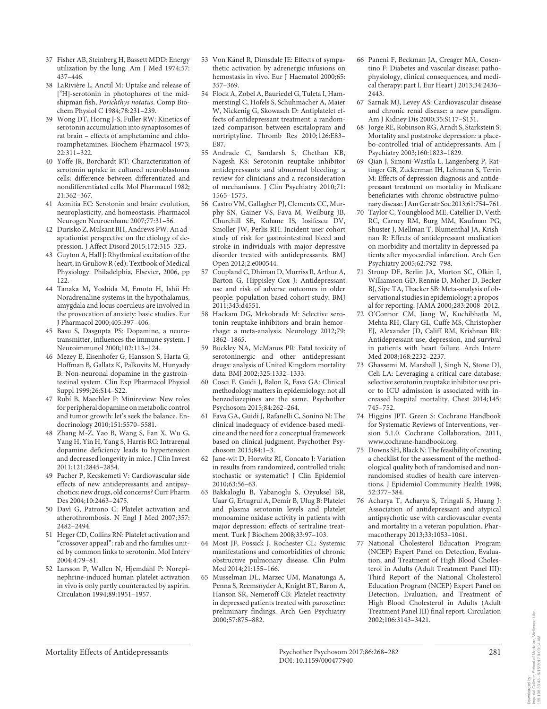- 37 Fisher AB, Steinberg H, Bassett MDD: Energy utilization by the lung. Am J Med 1974;57: 437–446.
- 38 LaRivière L, Anctil M: Uptake and release of [<sup>3</sup>H]-serotonin in photophores of the midshipman fish, *Porichthys notatus* . Comp Biochem Physiol C 1984;78:231–239.
- 39 Wong DT, Horng J-S, Fuller RW: Kinetics of serotonin accumulation into synaptosomes of rat brain – effects of amphetamine and chloroamphetamines. Biochem Pharmacol 1973; 22:311–322.
- 40 Yoffe JR, Borchardt RT: Characterization of serotonin uptake in cultured neuroblastoma cells: difference between differentiated and nondifferentiated cells. Mol Pharmacol 1982; 21:362–367.
- 41 Azmitia EC: Serotonin and brain: evolution, neuroplasticity, and homeostasis. Pharmacol Neurogen Neuroenhanc 2007;77:31–56.
- 42 Durisko Z, Mulsant BH, Andrews PW: An adaptationist perspective on the etiology of depression. J Affect Disord 2015;172:315–323.
- 43 Guyton A, Hall J: Rhythmical excitation of the heart; in Gruliow R (ed): Textbook of Medical Physiology. Philadelphia, Elsevier, 2006, pp 122.
- 44 Tanaka M, Yoshida M, Emoto H, Ishii H: Noradrenaline systems in the hypothalamus, amygdala and locus coeruleus are involved in the provocation of anxiety: basic studies. Eur J Pharmacol 2000;405:397–406.
- 45 Basu S, Dasgupta PS: Dopamine, a neurotransmitter, influences the immune system. J Neuroimmunol 2000;102:113–124.
- 46 Mezey E, Eisenhofer G, Hansson S, Harta G, Hoffman B, Gallatz K, Palkovits M, Hunyady B: Non-neuronal dopamine in the gastrointestinal system. Clin Exp Pharmacol Physiol Suppl 1999;26:S14–S22.
- 47 Rubí B, Maechler P: Minireview: New roles for peripheral dopamine on metabolic control and tumor growth: let's seek the balance. Endocrinology 2010;151:5570–5581.
- 48 Zhang M-Z, Yao B, Wang S, Fan X, Wu G, Yang H, Yin H, Yang S, Harris RC: Intrarenal dopamine deficiency leads to hypertension and decreased longevity in mice. J Clin Invest 2011;121:2845–2854.
- 49 Pacher P, Kecskemeti V: Cardiovascular side effects of new antidepressants and antipsychotics: new drugs, old concerns? Curr Pharm Des 2004;10:2463–2475.
- 50 Davì G, Patrono C: Platelet activation and atherothrombosis. N Engl J Med 2007;357: 2482–2494.
- 51 Heger CD, Collins RN: Platelet activation and "crossover appeal": rab and rho families united by common links to serotonin. Mol Interv 2004;4:79–81.
- 52 Larsson P, Wallen N, Hjemdahl P: Norepinephrine-induced human platelet activation in vivo is only partly counteracted by aspirin. Circulation 1994;89:1951–1957.
- 53 Von Känel R, Dimsdale JE: Effects of sympathetic activation by adrenergic infusions on hemostasis in vivo. Eur J Haematol 2000;65: 357–369.
- 54 Flock A, Zobel A, Bauriedel G, Tuleta I, Hammerstingl C, Hofels S, Schuhmacher A, Maier W, Nickenig G, Skowasch D: Antiplatelet effects of antidepressant treatment: a randomized comparison between escitalopram and nortriptyline. Thromb Res 2010; 126:E83– E87.
- 55 Andrade C, Sandarsh S, Chethan KB, Nagesh KS: Serotonin reuptake inhibitor antidepressants and abnormal bleeding: a review for clinicians and a reconsideration of mechanisms. J Clin Psychiatry 2010;71: 1565–1575.
- 56 Castro VM, Gallagher PJ, Clements CC, Murphy SN, Gainer VS, Fava M, Weilburg JB, Churchill SE, Kohane IS, Iosifescu DV, Smoller JW, Perlis RH: Incident user cohort study of risk for gastrointestinal bleed and stroke in individuals with major depressive disorder treated with antidepressants. BMJ Open 2012;2:e000544.
- 57 Coupland C, Dhiman D, Morriss R, Arthur A, Barton G, Hippisley-Cox J: Antidepressant use and risk of adverse outcomes in older people: population based cohort study. BMJ  $2011.343.44551$
- 58 Hackam DG, Mrkobrada M: Selective serotonin reuptake inhibitors and brain hemorrhage: a meta-analysis. Neurology 2012;79: 1862–1865.
- 59 Buckley NA, McManus PR: Fatal toxicity of serotoninergic and other antidepressant drugs: analysis of United Kingdom mortality data. BMJ 2002;325:1332–1333.
- 60 Cosci F, Guidi J, Balon R, Fava GA: Clinical methodology matters in epidemiology: not all benzodiazepines are the same. Psychother Psychosom 2015;84:262–264.
- 61 Fava GA, Guidi J, Rafanelli C, Sonino N: The clinical inadequacy of evidence-based medicine and the need for a conceptual framework based on clinical judgment. Psychother Psychosom 2015;84:1–3.
- 62 Jane-wit D, Horwitz RI, Concato J: Variation in results from randomized, controlled trials: stochastic or systematic? J Clin Epidemiol 2010;63:56–63.
- 63 Bakkaloglu B, Yabanoglu S, Ozyuksel BR, Uaar G, Ertugrul A, Demir B, Ulug B: Platelet and plasma serotonin levels and platelet monoamine oxidase activity in patients with major depression: effects of sertraline treatment. Turk J Biochem 2008;33:97–103.
- 64 Most JF, Possick J, Rochester CL: Systemic manifestations and comorbidities of chronic obstructive pulmonary disease. Clin Pulm Med 2014;21:155–166.
- 65 Musselman DL, Marzec UM, Manatunga A, Penna S, Reemsnyder A, Knight BT, Baron A, Hanson SR, Nemeroff CB: Platelet reactivity in depressed patients treated with paroxetine: preliminary findings. Arch Gen Psychiatry 2000;57:875–882.
- 66 Paneni F, Beckman JA, Creager MA, Cosentino F: Diabetes and vascular disease: pathophysiology, clinical consequences, and medical therapy: part I. Eur Heart J 2013;34:2436– 2443.
- 67 Sarnak MJ, Levey AS: Cardiovascular disease and chronic renal disease: a new paradigm. Am J Kidney Dis 2000;35:S117–S131.
- 68 Jorge RE, Robinson RG, Arndt S, Starkstein S: Mortality and poststroke depression: a placebo-controlled trial of antidepressants. Am J Psychiatry 2003;160:1823–1829.
- 69 Qian J, Simoni-Wastila L, Langenberg P, Rattinger GB, Zuckerman IH, Lehmann S, Terrin M: Effects of depression diagnosis and antidepressant treatment on mortality in Medicare beneficiaries with chronic obstructive pulmonary disease. J Am Geriatr Soc 2013;61:754–761.
- 70 Taylor C, Youngblood ME, Catellier D, Veith RC, Carney RM, Burg MM, Kaufman PG, Shuster J, Mellman T, Blumenthal JA, Krishnan R: Effects of antidepressant medication on morbidity and mortality in depressed patients after myocardial infarction. Arch Gen Psychiatry 2005;62:792–798.
- 71 Stroup DF, Berlin JA, Morton SC, Olkin I, Williamson GD, Rennie D, Moher D, Becker BJ, Sipe TA, Thacker SB: Meta-analysis of observational studies in epidemiology: a proposal for reporting. JAMA 2000;283:2008–2012.
- 72 O'Connor CM, Jiang W, Kuchibhatla M, Mehta RH, Clary GL, Cuffe MS, Christopher EJ, Alexander JD, Califf RM, Krishnan RR: Antidepressant use, depression, and survival in patients with heart failure. Arch Intern Med 2008;168:2232–2237.
- 73 Ghassemi M, Marshall J, Singh N, Stone DJ, Celi LA: Leveraging a critical care database: selective serotonin reuptake inhibitor use prior to ICU admission is associated with increased hospital mortality. Chest 2014;145: 745–752.
- 74 Higgins JPT, Green S: Cochrane Handbook for Systematic Reviews of Interventions, version 5.1.0. Cochrane Collaboration, 2011, www.cochrane-handbook.org.
- 75 Downs SH, Black N: The feasibility of creating a checklist for the assessment of the methodological quality both of randomised and nonrandomised studies of health care interventions. J Epidemiol Community Health 1998; 52:377–384.
- 76 Acharya T, Acharya S, Tringali S, Huang J: Association of antidepressant and atypical antipsychotic use with cardiovascular events and mortality in a veteran population. Pharmacotherapy 2013;33:1053–1061.
- 77 National Cholesterol Education Program (NCEP) Expert Panel on Detection, Evaluation, and Treatment of High Blood Cholesterol in Adults (Adult Treatment Panel III): Third Report of the National Cholesterol Education Program (NCEP) Expert Panel on Detection, Evaluation, and Treatment of High Blood Cholesterol in Adults (Adult Treatment Panel III) final report. Circulation 2002;106:3143–3421.